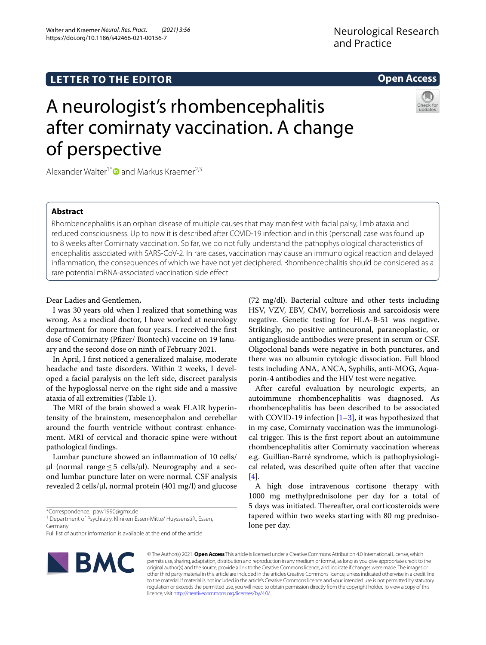# **LETTER TO THE EDITOR**

Walter and Kraemer *Neurol. Res. Pract. (2021) 3:56*  https://doi.org/10.1186/s42466-021-00156-7

# **Open Access**

# A neurologist's rhombencephalitis after comirnaty vaccination. A change of perspective



# **Abstract**

Rhombencephalitis is an orphan disease of multiple causes that may manifest with facial palsy, limb ataxia and reduced consciousness. Up to now it is described after COVID-19 infection and in this (personal) case was found up to 8 weeks after Comirnaty vaccination. So far, we do not fully understand the pathophysiological characteristics of encephalitis associated with SARS-CoV-2. In rare cases, vaccination may cause an immunological reaction and delayed infammation, the consequences of which we have not yet deciphered. Rhombencephalitis should be considered as a rare potential mRNA-associated vaccination side efect.

Dear Ladies and Gentlemen,

I was 30 years old when I realized that something was wrong. As a medical doctor, I have worked at neurology department for more than four years. I received the frst dose of Comirnaty (Pfzer/ Biontech) vaccine on 19 January and the second dose on ninth of February 2021.

In April, I frst noticed a generalized malaise, moderate headache and taste disorders. Within 2 weeks, I developed a facial paralysis on the left side, discreet paralysis of the hypoglossal nerve on the right side and a massive ataxia of all extremities (Table [1](#page-1-0)).

The MRI of the brain showed a weak FLAIR hyperintensity of the brainstem, mesencephalon and cerebellar around the fourth ventricle without contrast enhancement. MRI of cervical and thoracic spine were without pathological fndings.

Lumbar puncture showed an infammation of 10 cells/ µl (normal range  $\leq$  5 cells/µl). Neurography and a second lumbar puncture later on were normal. CSF analysis revealed 2 cells/ $\mu$ l, normal protein (401 mg/l) and glucose

\*Correspondence: paw1990@gmx.de

<sup>1</sup> Department of Psychiatry, Kliniken Essen-Mitte/ Huyssenstift, Essen, Germany

Full list of author information is available at the end of the article



© The Author(s) 2021. **Open Access** This article is licensed under a Creative Commons Attribution 4.0 International License, which permits use, sharing, adaptation, distribution and reproduction in any medium or format, as long as you give appropriate credit to the original author(s) and the source, provide a link to the Creative Commons licence, and indicate if changes were made. The images or other third party material in this article are included in the article's Creative Commons licence, unless indicated otherwise in a credit line to the material. If material is not included in the article's Creative Commons licence and your intended use is not permitted by statutory regulation or exceeds the permitted use, you will need to obtain permission directly from the copyright holder. To view a copy of this licence, visit [http://creativecommons.org/licenses/by/4.0/.](http://creativecommons.org/licenses/by/4.0/)

(72 mg/dl). Bacterial culture and other tests including HSV, VZV, EBV, CMV, borreliosis and sarcoidosis were negative. Genetic testing for HLA-B-51 was negative. Strikingly, no positive antineuronal, paraneoplastic, or antiganglioside antibodies were present in serum or CSF. Oligoclonal bands were negative in both punctures, and there was no albumin cytologic dissociation. Full blood tests including ANA, ANCA, Syphilis, anti-MOG, Aquaporin-4 antibodies and the HIV test were negative.

After careful evaluation by neurologic experts, an autoimmune rhombencephalitis was diagnosed. As rhombencephalitis has been described to be associated with COVID-[1](#page-2-0)9 infection  $[1-3]$ , it was hypothesized that in my case, Comirnaty vaccination was the immunological trigger. This is the first report about an autoimmune rhombencephalitis after Comirnaty vaccination whereas e.g. Guillian-Barré syndrome, which is pathophysiological related, was described quite often after that vaccine [[4\]](#page-2-2).

A high dose intravenous cortisone therapy with 1000 mg methylprednisolone per day for a total of 5 days was initiated. Thereafter, oral corticosteroids were tapered within two weeks starting with 80 mg prednisolone per day.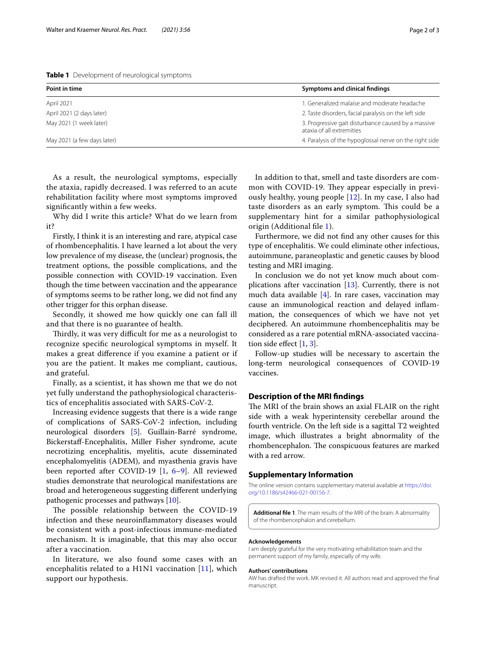<span id="page-1-0"></span>**Table 1** Development of neurological symptoms

| Point in time               | Symptoms and clinical findings                                                   |
|-----------------------------|----------------------------------------------------------------------------------|
| April 2021                  | 1. Generalized malaise and moderate headache                                     |
| April 2021 (2 days later)   | 2. Taste disorders, facial paralysis on the left side                            |
| May 2021 (1 week later)     | 3. Progressive gait disturbance caused by a massive<br>ataxia of all extremities |
| May 2021 (a few days later) | 4. Paralysis of the hypoglossal nerve on the right side                          |
|                             |                                                                                  |

As a result, the neurological symptoms, especially the ataxia, rapidly decreased. I was referred to an acute rehabilitation facility where most symptoms improved signifcantly within a few weeks.

Why did I write this article? What do we learn from it?

Firstly, I think it is an interesting and rare, atypical case of rhombencephalitis. I have learned a lot about the very low prevalence of my disease, the (unclear) prognosis, the treatment options, the possible complications, and the possible connection with COVID-19 vaccination. Even though the time between vaccination and the appearance of symptoms seems to be rather long, we did not fnd any other trigger for this orphan disease.

Secondly, it showed me how quickly one can fall ill and that there is no guarantee of health.

Thirdly, it was very difficult for me as a neurologist to recognize specifc neurological symptoms in myself. It makes a great diference if you examine a patient or if you are the patient. It makes me compliant, cautious, and grateful.

Finally, as a scientist, it has shown me that we do not yet fully understand the pathophysiological characteristics of encephalitis associated with SARS-CoV-2.

Increasing evidence suggests that there is a wide range of complications of SARS-CoV-2 infection, including neurological disorders [\[5](#page-2-3)]. Guillain-Barré syndrome, Bickerstaf-Encephalitis, Miller Fisher syndrome, acute necrotizing encephalitis, myelitis, acute disseminated encephalomyelitis (ADEM), and myasthenia gravis have been reported after COVID-19 [[1,](#page-2-0) [6–](#page-2-4)[9](#page-2-5)]. All reviewed studies demonstrate that neurological manifestations are broad and heterogeneous suggesting diferent underlying pathogenic processes and pathways [\[10](#page-2-6)].

The possible relationship between the COVID-19 infection and these neuroinfammatory diseases would be consistent with a post-infectious immune-mediated mechanism. It is imaginable, that this may also occur after a vaccination.

In literature, we also found some cases with an encephalitis related to a H1N1 vaccination [\[11](#page-2-7)], which support our hypothesis.

In addition to that, smell and taste disorders are common with COVID-19. They appear especially in previously healthy, young people [[12](#page-2-8)]. In my case, I also had taste disorders as an early symptom. This could be a supplementary hint for a similar pathophysiological origin (Additional fle [1](#page-1-1)).

Furthermore, we did not fnd any other causes for this type of encephalitis. We could eliminate other infectious, autoimmune, paraneoplastic and genetic causes by blood testing and MRI imaging.

In conclusion we do not yet know much about complications after vaccination [\[13\]](#page-2-9). Currently, there is not much data available [[4\]](#page-2-2). In rare cases, vaccination may cause an immunological reaction and delayed infammation, the consequences of which we have not yet deciphered. An autoimmune rhombencephalitis may be considered as a rare potential mRNA-associated vaccination side efect [[1,](#page-2-0) [3](#page-2-1)].

Follow-up studies will be necessary to ascertain the long-term neurological consequences of COVID-19 vaccines.

# **Description of the MRI fndings**

The MRI of the brain shows an axial FLAIR on the right side with a weak hyperintensity cerebellar around the fourth ventricle. On the left side is a sagittal T2 weighted image, which illustrates a bright abnormality of the rhombencephalon. The conspicuous features are marked with a red arrow.

# **Supplementary Information**

The online version contains supplementary material available at [https://doi.](https://doi.org/10.1186/s42466-021-00156-7) [org/10.1186/s42466-021-00156-7](https://doi.org/10.1186/s42466-021-00156-7).

<span id="page-1-1"></span>**Additional fle 1**. The main results of the MRI of the brain: A abnormality of the rhombencephalon and cerebellum.

#### **Acknowledgements**

I am deeply grateful for the very motivating rehabilitation team and the permanent support of my family, especially of my wife.

#### **Authors' contributions**

AW has drafted the work. MK revised it. All authors read and approved the fnal manuscript.